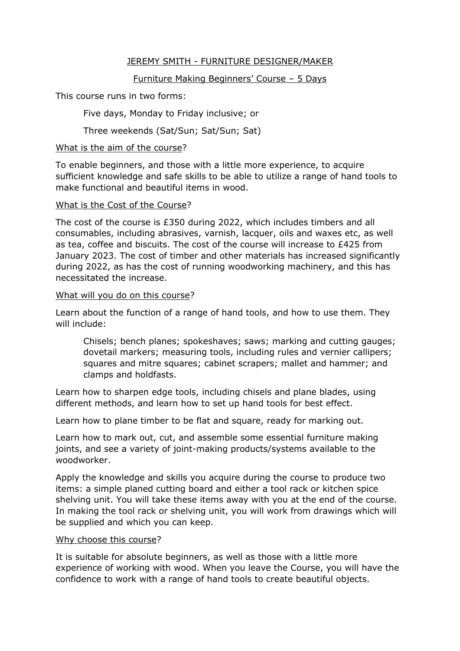## JEREMY SMITH - FURNITURE DESIGNER/MAKER

# Furniture Making Beginners' Course – 5 Days

This course runs in two forms:

Five days, Monday to Friday inclusive; or

Three weekends (Sat/Sun; Sat/Sun; Sat)

## What is the aim of the course?

To enable beginners, and those with a little more experience, to acquire sufficient knowledge and safe skills to be able to utilize a range of hand tools to make functional and beautiful items in wood.

#### What is the Cost of the Course?

The cost of the course is £350 during 2022, which includes timbers and all consumables, including abrasives, varnish, lacquer, oils and waxes etc, as well as tea, coffee and biscuits. The cost of the course will increase to £425 from January 2023. The cost of timber and other materials has increased significantly during 2022, as has the cost of running woodworking machinery, and this has necessitated the increase.

#### What will you do on this course?

Learn about the function of a range of hand tools, and how to use them. They will include:

Chisels; bench planes; spokeshaves; saws; marking and cutting gauges; dovetail markers; measuring tools, including rules and vernier callipers; squares and mitre squares; cabinet scrapers; mallet and hammer; and clamps and holdfasts.

Learn how to sharpen edge tools, including chisels and plane blades, using different methods, and learn how to set up hand tools for best effect.

Learn how to plane timber to be flat and square, ready for marking out.

Learn how to mark out, cut, and assemble some essential furniture making joints, and see a variety of joint-making products/systems available to the woodworker.

Apply the knowledge and skills you acquire during the course to produce two items: a simple planed cutting board and either a tool rack or kitchen spice shelving unit. You will take these items away with you at the end of the course. In making the tool rack or shelving unit, you will work from drawings which will be supplied and which you can keep.

## Why choose this course?

It is suitable for absolute beginners, as well as those with a little more experience of working with wood. When you leave the Course, you will have the confidence to work with a range of hand tools to create beautiful objects.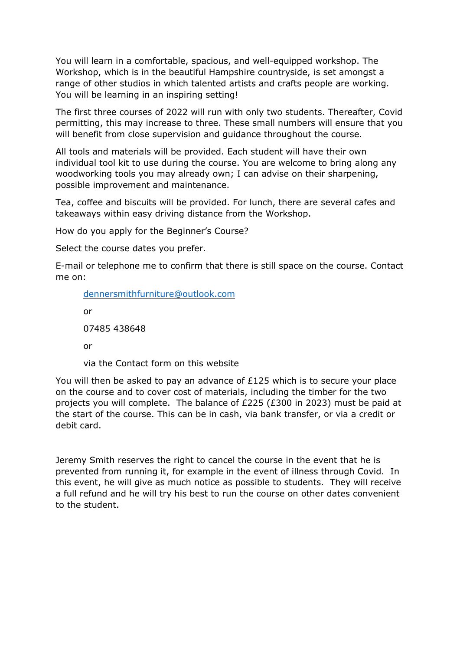You will learn in a comfortable, spacious, and well-equipped workshop. The Workshop, which is in the beautiful Hampshire countryside, is set amongst a range of other studios in which talented artists and crafts people are working. You will be learning in an inspiring setting!

The first three courses of 2022 will run with only two students. Thereafter, Covid permitting, this may increase to three. These small numbers will ensure that you will benefit from close supervision and guidance throughout the course.

All tools and materials will be provided. Each student will have their own individual tool kit to use during the course. You are welcome to bring along any woodworking tools you may already own; I can advise on their sharpening, possible improvement and maintenance.

Tea, coffee and biscuits will be provided. For lunch, there are several cafes and takeaways within easy driving distance from the Workshop.

How do you apply for the Beginner's Course?

Select the course dates you prefer.

E-mail or telephone me to confirm that there is still space on the course. Contact me on:

[dennersmithfurniture@outlook.com](mailto:dennersmithfurniture@outlook.com)

or 07485 438648

or

via the Contact form on this website

You will then be asked to pay an advance of £125 which is to secure your place on the course and to cover cost of materials, including the timber for the two projects you will complete. The balance of £225 (£300 in 2023) must be paid at the start of the course. This can be in cash, via bank transfer, or via a credit or debit card.

Jeremy Smith reserves the right to cancel the course in the event that he is prevented from running it, for example in the event of illness through Covid. In this event, he will give as much notice as possible to students. They will receive a full refund and he will try his best to run the course on other dates convenient to the student.